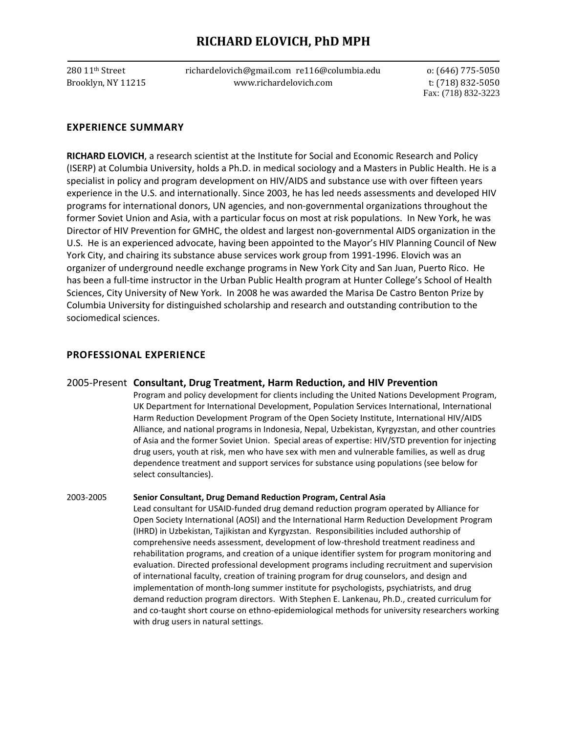# **RICHARD ELOVICH, PhD MPH**

280 11th Street richardelovich@gmail.com re116@columbia.edu o: (646) 775-5050 Brooklyn, NY 11215 www.richardelovich.com t: (718) 832-5050

Fax: (718) 832-3223

# **EXPERIENCE SUMMARY**

**RICHARD ELOVICH**, a research scientist at the Institute for Social and Economic Research and Policy (ISERP) at Columbia University, holds a Ph.D. in medical sociology and a Masters in Public Health. He is a specialist in policy and program development on HIV/AIDS and substance use with over fifteen years experience in the U.S. and internationally. Since 2003, he has led needs assessments and developed HIV programs for international donors, UN agencies, and non-governmental organizations throughout the former Soviet Union and Asia, with a particular focus on most at risk populations. In New York, he was Director of HIV Prevention for GMHC, the oldest and largest non-governmental AIDS organization in the U.S. He is an experienced advocate, having been appointed to the Mayor's HIV Planning Council of New York City, and chairing its substance abuse services work group from 1991-1996. Elovich was an organizer of underground needle exchange programs in New York City and San Juan, Puerto Rico. He has been a full-time instructor in the Urban Public Health program at Hunter College's School of Health Sciences, City University of New York. In 2008 he was awarded the Marisa De Castro Benton Prize by Columbia University for distinguished scholarship and research and outstanding contribution to the sociomedical sciences.

# **PROFESSIONAL EXPERIENCE**

### 2005-Present **Consultant, Drug Treatment, Harm Reduction, and HIV Prevention**

Program and policy development for clients including the United Nations Development Program, UK Department for International Development, Population Services International, International Harm Reduction Development Program of the Open Society Institute, International HIV/AIDS Alliance, and national programs in Indonesia, Nepal, Uzbekistan, Kyrgyzstan, and other countries of Asia and the former Soviet Union. Special areas of expertise: HIV/STD prevention for injecting drug users, youth at risk, men who have sex with men and vulnerable families, as well as drug dependence treatment and support services for substance using populations (see below for select consultancies).

#### 2003-2005 **Senior Consultant, Drug Demand Reduction Program, Central Asia**

Lead consultant for USAID-funded drug demand reduction program operated by Alliance for Open Society International (AOSI) and the International Harm Reduction Development Program (IHRD) in Uzbekistan, Tajikistan and Kyrgyzstan. Responsibilities included authorship of comprehensive needs assessment, development of low-threshold treatment readiness and rehabilitation programs, and creation of a unique identifier system for program monitoring and evaluation. Directed professional development programs including recruitment and supervision of international faculty, creation of training program for drug counselors, and design and implementation of month-long summer institute for psychologists, psychiatrists, and drug demand reduction program directors. With Stephen E. Lankenau, Ph.D., created curriculum for and co-taught short course on ethno-epidemiological methods for university researchers working with drug users in natural settings.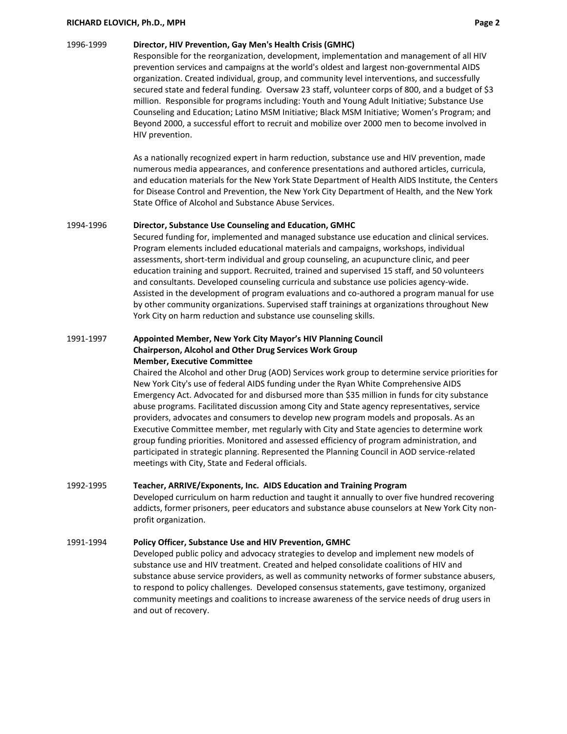#### **RICHARD ELOVICH, Ph.D., MPH Page 2**

#### 1996-1999 **Director, HIV Prevention, Gay Men's Health Crisis (GMHC)**

Responsible for the reorganization, development, implementation and management of all HIV prevention services and campaigns at the world's oldest and largest non-governmental AIDS organization. Created individual, group, and community level interventions, and successfully secured state and federal funding. Oversaw 23 staff, volunteer corps of 800, and a budget of \$3 million. Responsible for programs including: Youth and Young Adult Initiative; Substance Use Counseling and Education; Latino MSM Initiative; Black MSM Initiative; Women's Program; and Beyond 2000, a successful effort to recruit and mobilize over 2000 men to become involved in HIV prevention.

 As a nationally recognized expert in harm reduction, substance use and HIV prevention, made numerous media appearances, and conference presentations and authored articles, curricula, and education materials for the New York State Department of Health AIDS Institute, the Centers for Disease Control and Prevention, the New York City Department of Health, and the New York State Office of Alcohol and Substance Abuse Services.

#### 1994-1996 **Director, Substance Use Counseling and Education, GMHC**

Secured funding for, implemented and managed substance use education and clinical services. Program elements included educational materials and campaigns, workshops, individual assessments, short-term individual and group counseling, an acupuncture clinic, and peer education training and support. Recruited, trained and supervised 15 staff, and 50 volunteers and consultants. Developed counseling curricula and substance use policies agency-wide. Assisted in the development of program evaluations and co-authored a program manual for use by other community organizations. Supervised staff trainings at organizations throughout New York City on harm reduction and substance use counseling skills.

#### 1991-1997 **Appointed Member, New York City Mayor's HIV Planning Council Chairperson, Alcohol and Other Drug Services Work Group Member, Executive Committee**

Chaired the Alcohol and other Drug (AOD) Services work group to determine service priorities for New York City's use of federal AIDS funding under the Ryan White Comprehensive AIDS Emergency Act. Advocated for and disbursed more than \$35 million in funds for city substance abuse programs. Facilitated discussion among City and State agency representatives, service providers, advocates and consumers to develop new program models and proposals. As an Executive Committee member, met regularly with City and State agencies to determine work group funding priorities. Monitored and assessed efficiency of program administration, and participated in strategic planning. Represented the Planning Council in AOD service-related meetings with City, State and Federal officials.

### 1992-1995 **Teacher, ARRIVE/Exponents, Inc. AIDS Education and Training Program**

Developed curriculum on harm reduction and taught it annually to over five hundred recovering addicts, former prisoners, peer educators and substance abuse counselors at New York City nonprofit organization.

#### 1991-1994 **Policy Officer, Substance Use and HIV Prevention, GMHC**

Developed public policy and advocacy strategies to develop and implement new models of substance use and HIV treatment. Created and helped consolidate coalitions of HIV and substance abuse service providers, as well as community networks of former substance abusers, to respond to policy challenges. Developed consensus statements, gave testimony, organized community meetings and coalitions to increase awareness of the service needs of drug users in and out of recovery.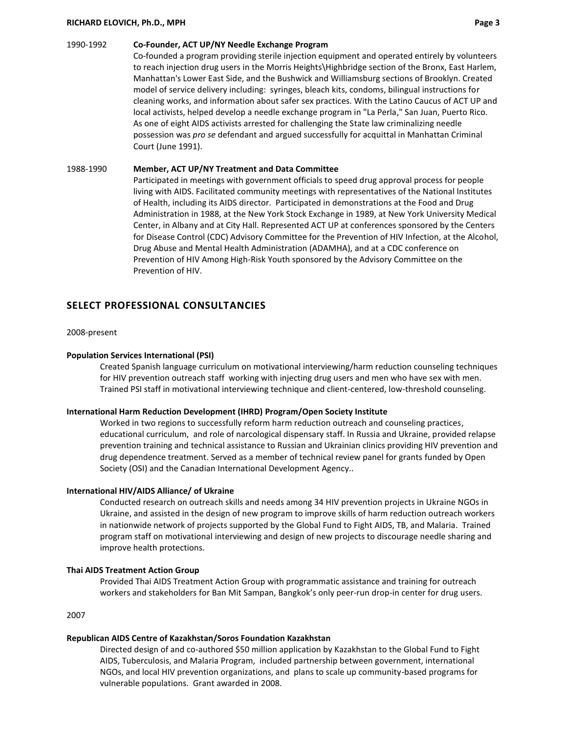#### **RICHARD ELOVICH, Ph.D., MPH Page 3**

#### 1990-1992 **Co-Founder, ACT UP/NY Needle Exchange Program**

Co-founded a program providing sterile injection equipment and operated entirely by volunteers to reach injection drug users in the Morris Heights\Highbridge section of the Bronx, East Harlem, Manhattan's Lower East Side, and the Bushwick and Williamsburg sections of Brooklyn. Created model of service delivery including: syringes, bleach kits, condoms, bilingual instructions for cleaning works, and information about safer sex practices. With the Latino Caucus of ACT UP and local activists, helped develop a needle exchange program in "La Perla," San Juan, Puerto Rico. As one of eight AIDS activists arrested for challenging the State law criminalizing needle possession was *pro se* defendant and argued successfully for acquittal in Manhattan Criminal Court (June 1991).

#### 1988-1990 **Member, ACT UP/NY Treatment and Data Committee**

Participated in meetings with government officials to speed drug approval process for people living with AIDS. Facilitated community meetings with representatives of the National Institutes of Health, including its AIDS director. Participated in demonstrations at the Food and Drug Administration in 1988, at the New York Stock Exchange in 1989, at New York University Medical Center, in Albany and at City Hall. Represented ACT UP at conferences sponsored by the Centers for Disease Control (CDC) Advisory Committee for the Prevention of HIV Infection, at the Alcohol, Drug Abuse and Mental Health Administration (ADAMHA), and at a CDC conference on Prevention of HIV Among High-Risk Youth sponsored by the Advisory Committee on the Prevention of HIV.

### **SELECT PROFESSIONAL CONSULTANCIES**

#### 2008-present

#### **Population Services International (PSI)**

Created Spanish language curriculum on motivational interviewing/harm reduction counseling techniques for HIV prevention outreach staff working with injecting drug users and men who have sex with men. Trained PSI staff in motivational interviewing technique and client-centered, low-threshold counseling.

#### **International Harm Reduction Development (IHRD) Program/Open Society Institute**

Worked in two regions to successfully reform harm reduction outreach and counseling practices, educational curriculum, and role of narcological dispensary staff. In Russia and Ukraine, provided relapse prevention training and technical assistance to Russian and Ukrainian clinics providing HIV prevention and drug dependence treatment. Served as a member of technical review panel for grants funded by Open Society (OSI) and the Canadian International Development Agency..

#### **International HIV/AIDS Alliance/ of Ukraine**

Conducted research on outreach skills and needs among 34 HIV prevention projects in Ukraine NGOs in Ukraine, and assisted in the design of new program to improve skills of harm reduction outreach workers in nationwide network of projects supported by the Global Fund to Fight AIDS, TB, and Malaria. Trained program staff on motivational interviewing and design of new projects to discourage needle sharing and improve health protections.

#### **Thai AIDS Treatment Action Group**

Provided Thai AIDS Treatment Action Group with programmatic assistance and training for outreach workers and stakeholders for Ban Mit Sampan, Bangkok's only peer-run drop-in center for drug users.

2007

#### **Republican AIDS Centre of Kazakhstan/Soros Foundation Kazakhstan**

Directed design of and co-authored \$50 million application by Kazakhstan to the Global Fund to Fight AIDS, Tuberculosis, and Malaria Program, included partnership between government, international NGOs, and local HIV prevention organizations, and plans to scale up community-based programs for vulnerable populations. Grant awarded in 2008.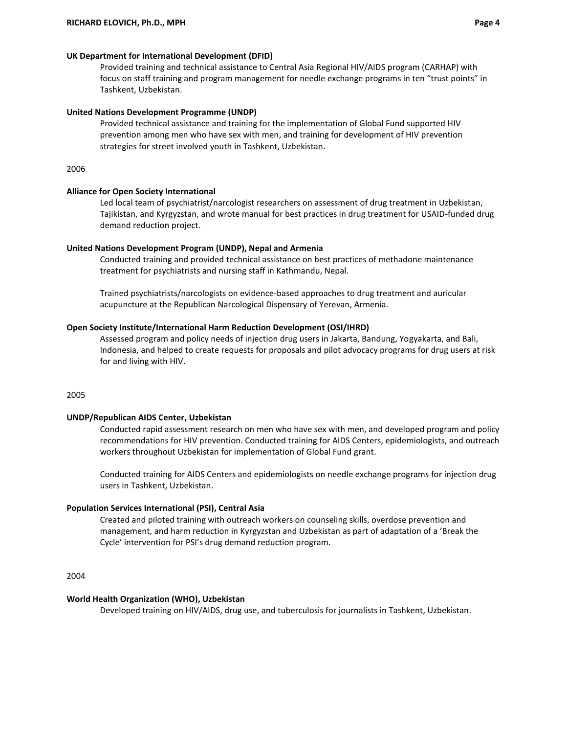#### **UK Department for International Development (DFID)**

Provided training and technical assistance to Central Asia Regional HIV/AIDS program (CARHAP) with focus on staff training and program management for needle exchange programs in ten "trust points" in Tashkent, Uzbekistan.

#### **United Nations Development Programme (UNDP)**

Provided technical assistance and training for the implementation of Global Fund supported HIV prevention among men who have sex with men, and training for development of HIV prevention strategies for street involved youth in Tashkent, Uzbekistan.

2006

#### **Alliance for Open Society International**

Led local team of psychiatrist/narcologist researchers on assessment of drug treatment in Uzbekistan, Tajikistan, and Kyrgyzstan, and wrote manual for best practices in drug treatment for USAID-funded drug demand reduction project.

#### **United Nations Development Program (UNDP), Nepal and Armenia**

Conducted training and provided technical assistance on best practices of methadone maintenance treatment for psychiatrists and nursing staff in Kathmandu, Nepal.

Trained psychiatrists/narcologists on evidence-based approaches to drug treatment and auricular acupuncture at the Republican Narcological Dispensary of Yerevan, Armenia.

#### **Open Society Institute/International Harm Reduction Development (OSI/IHRD)**

Assessed program and policy needs of injection drug users in Jakarta, Bandung, Yogyakarta, and Bali, Indonesia, and helped to create requests for proposals and pilot advocacy programs for drug users at risk for and living with HIV.

2005

#### **UNDP/Republican AIDS Center, Uzbekistan**

Conducted rapid assessment research on men who have sex with men, and developed program and policy recommendations for HIV prevention. Conducted training for AIDS Centers, epidemiologists, and outreach workers throughout Uzbekistan for implementation of Global Fund grant.

Conducted training for AIDS Centers and epidemiologists on needle exchange programs for injection drug users in Tashkent, Uzbekistan.

#### **Population Services International (PSI), Central Asia**

Created and piloted training with outreach workers on counseling skills, overdose prevention and management, and harm reduction in Kyrgyzstan and Uzbekistan as part of adaptation of a 'Break the Cycle' intervention for PSI's drug demand reduction program.

2004

#### **World Health Organization (WHO), Uzbekistan**

Developed training on HIV/AIDS, drug use, and tuberculosis for journalists in Tashkent, Uzbekistan.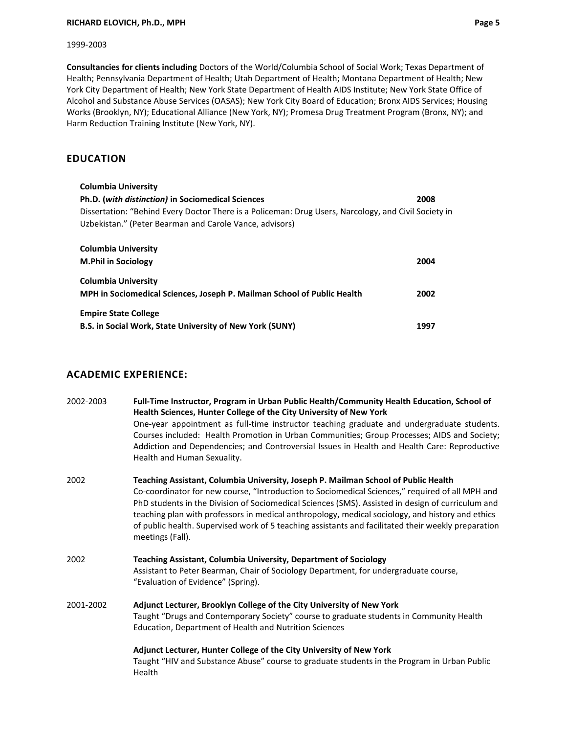#### **RICHARD ELOVICH, Ph.D., MPH Page 5**

#### 1999-2003

**Consultancies for clients including** Doctors of the World/Columbia School of Social Work; Texas Department of Health; Pennsylvania Department of Health; Utah Department of Health; Montana Department of Health; New York City Department of Health; New York State Department of Health AIDS Institute; New York State Office of Alcohol and Substance Abuse Services (OASAS); New York City Board of Education; Bronx AIDS Services; Housing Works (Brooklyn, NY); Educational Alliance (New York, NY); Promesa Drug Treatment Program (Bronx, NY); and Harm Reduction Training Institute (New York, NY).

# **EDUCATION**

| <b>Columbia University</b>                                                                                                                                      |      |  |
|-----------------------------------------------------------------------------------------------------------------------------------------------------------------|------|--|
| Ph.D. (with distinction) in Sociomedical Sciences                                                                                                               | 2008 |  |
| Dissertation: "Behind Every Doctor There is a Policeman: Drug Users, Narcology, and Civil Society in<br>Uzbekistan." (Peter Bearman and Carole Vance, advisors) |      |  |
| Columbia University<br><b>M.Phil in Sociology</b>                                                                                                               | 2004 |  |
| <b>Columbia University</b><br>MPH in Sociomedical Sciences, Joseph P. Mailman School of Public Health                                                           | 2002 |  |
| <b>Empire State College</b><br>B.S. in Social Work, State University of New York (SUNY)                                                                         | 1997 |  |

# **ACADEMIC EXPERIENCE:**

| 2002-2003 | Full-Time Instructor, Program in Urban Public Health/Community Health Education, School of<br>Health Sciences, Hunter College of the City University of New York<br>One-year appointment as full-time instructor teaching graduate and undergraduate students.                                                                                                                                                                                                                                                            |
|-----------|---------------------------------------------------------------------------------------------------------------------------------------------------------------------------------------------------------------------------------------------------------------------------------------------------------------------------------------------------------------------------------------------------------------------------------------------------------------------------------------------------------------------------|
|           | Courses included: Health Promotion in Urban Communities; Group Processes; AIDS and Society;<br>Addiction and Dependencies; and Controversial Issues in Health and Health Care: Reproductive<br>Health and Human Sexuality.                                                                                                                                                                                                                                                                                                |
| 2002      | Teaching Assistant, Columbia University, Joseph P. Mailman School of Public Health<br>Co-coordinator for new course, "Introduction to Sociomedical Sciences," required of all MPH and<br>PhD students in the Division of Sociomedical Sciences (SMS). Assisted in design of curriculum and<br>teaching plan with professors in medical anthropology, medical sociology, and history and ethics<br>of public health. Supervised work of 5 teaching assistants and facilitated their weekly preparation<br>meetings (Fall). |
| 2002      | Teaching Assistant, Columbia University, Department of Sociology<br>Assistant to Peter Bearman, Chair of Sociology Department, for undergraduate course,<br>"Evaluation of Evidence" (Spring).                                                                                                                                                                                                                                                                                                                            |
| 2001-2002 | Adjunct Lecturer, Brooklyn College of the City University of New York<br>Taught "Drugs and Contemporary Society" course to graduate students in Community Health<br>Education, Department of Health and Nutrition Sciences                                                                                                                                                                                                                                                                                                |
|           | Adjunct Lecturer, Hunter College of the City University of New York<br>Taught "HIV and Substance Abuse" course to graduate students in the Program in Urban Public<br>Health                                                                                                                                                                                                                                                                                                                                              |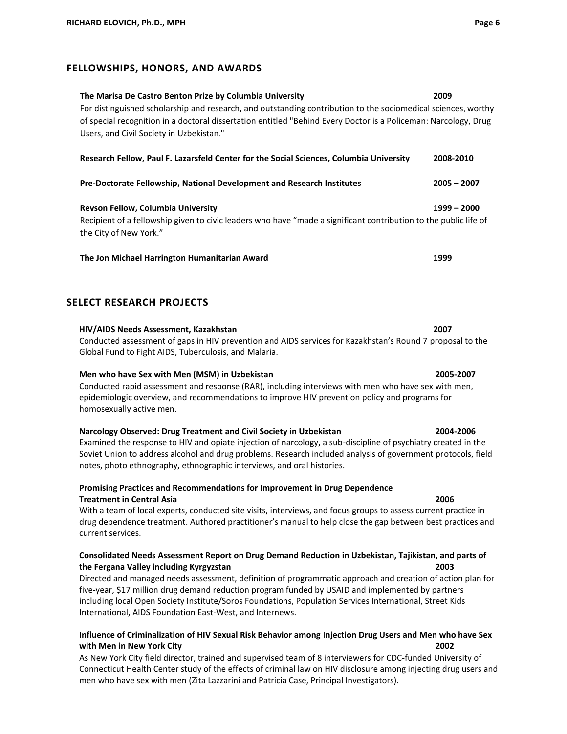# **FELLOWSHIPS, HONORS, AND AWARDS**

# **The Marisa De Castro Benton Prize by Columbia University 2009** For distinguished scholarship and research, and outstanding contribution to the sociomedical sciences, worthy of special recognition in a doctoral dissertation entitled "Behind Every Doctor is a Policeman: Narcology, Drug Users, and Civil Society in Uzbekistan." **Research Fellow, Paul F. Lazarsfeld Center for the Social Sciences, Columbia University 2008-2010 Pre-Doctorate Fellowship, National Development and Research Institutes 2005 – 2007**

**Revson Fellow, Columbia University 1999 – 2000** Recipient of a fellowship given to civic leaders who have "made a significant contribution to the public life of the City of New York."

**The Jon Michael Harrington Humanitarian Award 1999**

# **SELECT RESEARCH PROJECTS**

# **HIV/AIDS Needs Assessment, Kazakhstan 2007**

Conducted assessment of gaps in HIV prevention and AIDS services for Kazakhstan's Round 7 proposal to the Global Fund to Fight AIDS, Tuberculosis, and Malaria.

# **Men who have Sex with Men (MSM) in Uzbekistan 2005-2007**

Conducted rapid assessment and response (RAR), including interviews with men who have sex with men, epidemiologic overview, and recommendations to improve HIV prevention policy and programs for homosexually active men.

# **Narcology Observed: Drug Treatment and Civil Society in Uzbekistan 2004-2006**

Examined the response to HIV and opiate injection of narcology, a sub-discipline of psychiatry created in the Soviet Union to address alcohol and drug problems. Research included analysis of government protocols, field notes, photo ethnography, ethnographic interviews, and oral histories.

# **Promising Practices and Recommendations for Improvement in Drug Dependence Treatment in Central Asia 2006**

With a team of local experts, conducted site visits, interviews, and focus groups to assess current practice in drug dependence treatment. Authored practitioner's manual to help close the gap between best practices and current services.

### **Consolidated Needs Assessment Report on Drug Demand Reduction in Uzbekistan, Tajikistan, and parts of the Fergana Valley including Kyrgyzstan 2003**

Directed and managed needs assessment, definition of programmatic approach and creation of action plan for five-year, \$17 million drug demand reduction program funded by USAID and implemented by partners including local Open Society Institute/Soros Foundations, Population Services International, Street Kids International, AIDS Foundation East-West, and Internews.

# **Influence of Criminalization of HIV Sexual Risk Behavior among** I**njection Drug Users and Men who have Sex with Men in New York City 2002**

As New York City field director, trained and supervised team of 8 interviewers for CDC-funded University of Connecticut Health Center study of the effects of criminal law on HIV disclosure among injecting drug users and men who have sex with men (Zita Lazzarini and Patricia Case, Principal Investigators).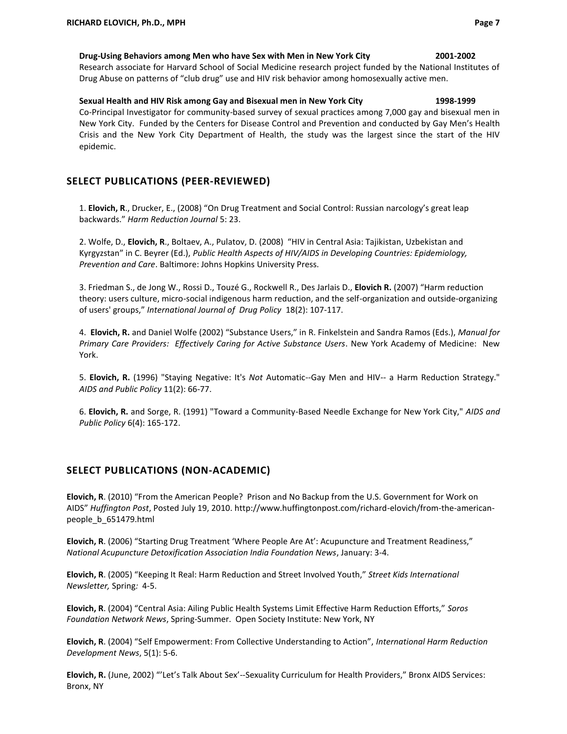#### **Drug-Using Behaviors among Men who have Sex with Men in New York City 2001-2002**

Research associate for Harvard School of Social Medicine research project funded by the National Institutes of Drug Abuse on patterns of "club drug" use and HIV risk behavior among homosexually active men.

**Sexual Health and HIV Risk among Gay and Bisexual men in New York City 1998-1999** Co-Principal Investigator for community-based survey of sexual practices among 7,000 gay and bisexual men in New York City. Funded by the Centers for Disease Control and Prevention and conducted by Gay Men's Health Crisis and the New York City Department of Health, the study was the largest since the start of the HIV epidemic.

# **SELECT PUBLICATIONS (PEER-REVIEWED)**

1. **Elovich, R**., Drucker, E., (2008) "On Drug Treatment and Social Control: Russian narcology's great leap backwards." *Harm Reduction Journal* 5: 23.

2. Wolfe, D., **Elovich, R**., Boltaev, A., Pulatov, D. (2008) "HIV in Central Asia: Tajikistan, Uzbekistan and Kyrgyzstan" in C. Beyrer (Ed.), *Public Health Aspects of HIV/AIDS in Developing Countries: Epidemiology, Prevention and Care*. Baltimore: Johns Hopkins University Press.

3. Friedman S., de Jong W., Rossi D., Touzé G., Rockwell R., Des Jarlais D., **Elovich R.** (2007) "Harm reduction theory: users culture, micro-social indigenous harm reduction, and the self-organization and outside-organizing of users' groups," *International Journal of Drug Policy* 18(2): 107-117.

4. **Elovich, R.** and Daniel Wolfe (2002) "Substance Users," in R. Finkelstein and Sandra Ramos (Eds.), *Manual for Primary Care Providers: Effectively Caring for Active Substance Users*. New York Academy of Medicine: New York.

5. **Elovich, R.** (1996) "Staying Negative: It's *Not* Automatic--Gay Men and HIV-- a Harm Reduction Strategy." *AIDS and Public Policy* 11(2): 66-77.

6. **Elovich, R.** and Sorge, R. (1991) "Toward a Community-Based Needle Exchange for New York City," *AIDS and Public Policy* 6(4): 165-172.

# **SELECT PUBLICATIONS (NON-ACADEMIC)**

**Elovich, R**. (2010) "From the American People? Prison and No Backup from the U.S. Government for Work on AIDS" *Huffington Post*, Posted July 19, 2010. http://www.huffingtonpost.com/richard-elovich/from-the-americanpeople\_b\_651479.html

**Elovich, R**. (2006) "Starting Drug Treatment 'Where People Are At': Acupuncture and Treatment Readiness," *National Acupuncture Detoxification Association India Foundation News*, January: 3-4.

**Elovich, R**. (2005) "Keeping It Real: Harm Reduction and Street Involved Youth," *Street Kids International Newsletter,* Spring*:* 4-5.

**Elovich, R**. (2004) "Central Asia: Ailing Public Health Systems Limit Effective Harm Reduction Efforts," *Soros Foundation Network News*, Spring-Summer. Open Society Institute: New York, NY

**Elovich, R**. (2004) "Self Empowerment: From Collective Understanding to Action", *International Harm Reduction Development News*, 5(1): 5-6.

**Elovich, R.** (June, 2002) "'Let's Talk About Sex'--Sexuality Curriculum for Health Providers," Bronx AIDS Services: Bronx, NY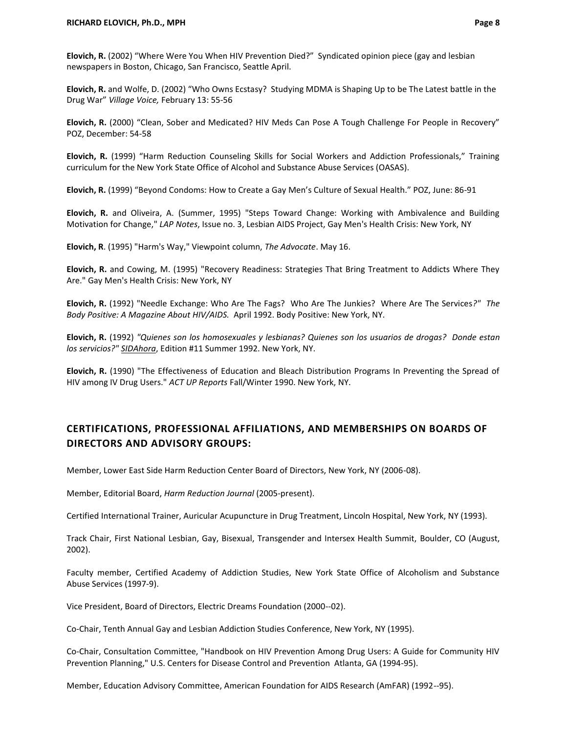**Elovich, R.** (2002) "Where Were You When HIV Prevention Died?" Syndicated opinion piece (gay and lesbian newspapers in Boston, Chicago, San Francisco, Seattle April.

**Elovich, R.** and Wolfe, D. (2002) "Who Owns Ecstasy? Studying MDMA is Shaping Up to be The Latest battle in the Drug War" *Village Voice,* February 13: 55-56

**Elovich, R.** (2000) "Clean, Sober and Medicated? HIV Meds Can Pose A Tough Challenge For People in Recovery" POZ, December: 54-58

**Elovich, R.** (1999) "Harm Reduction Counseling Skills for Social Workers and Addiction Professionals," Training curriculum for the New York State Office of Alcohol and Substance Abuse Services (OASAS).

**Elovich, R.** (1999) "Beyond Condoms: How to Create a Gay Men's Culture of Sexual Health." POZ, June: 86-91

**Elovich, R.** and Oliveira, A. (Summer, 1995) "Steps Toward Change: Working with Ambivalence and Building Motivation for Change," *LAP Notes*, Issue no. 3, Lesbian AIDS Project, Gay Men's Health Crisis: New York, NY

**Elovich, R**. (1995) "Harm's Way," Viewpoint column, *The Advocate*. May 16.

**Elovich, R.** and Cowing, M. (1995) "Recovery Readiness: Strategies That Bring Treatment to Addicts Where They Are." Gay Men's Health Crisis: New York, NY

**Elovich, R.** (1992) "Needle Exchange: Who Are The Fags? Who Are The Junkies? Where Are The Services*?" The Body Positive: A Magazine About HIV/AIDS.* April 1992. Body Positive: New York, NY.

**Elovich, R.** (1992) *"Quienes son los homosexuales y lesbianas? Quienes son los usuarios de drogas? Donde estan los servicios?" SIDAhora*, Edition #11 Summer 1992. New York, NY.

**Elovich, R.** (1990) "The Effectiveness of Education and Bleach Distribution Programs In Preventing the Spread of HIV among IV Drug Users." *ACT UP Reports* Fall/Winter 1990. New York, NY.

# **CERTIFICATIONS, PROFESSIONAL AFFILIATIONS, AND MEMBERSHIPS ON BOARDS OF DIRECTORS AND ADVISORY GROUPS:**

Member, Lower East Side Harm Reduction Center Board of Directors, New York, NY (2006-08).

Member, Editorial Board, *Harm Reduction Journal* (2005-present).

Certified International Trainer, Auricular Acupuncture in Drug Treatment, Lincoln Hospital, New York, NY (1993).

Track Chair, First National Lesbian, Gay, Bisexual, Transgender and Intersex Health Summit, Boulder, CO (August, 2002).

Faculty member, Certified Academy of Addiction Studies, New York State Office of Alcoholism and Substance Abuse Services (1997-9).

Vice President, Board of Directors, Electric Dreams Foundation (2000--02).

Co-Chair, Tenth Annual Gay and Lesbian Addiction Studies Conference, New York, NY (1995).

Co-Chair, Consultation Committee, "Handbook on HIV Prevention Among Drug Users: A Guide for Community HIV Prevention Planning," U.S. Centers for Disease Control and Prevention Atlanta, GA (1994-95).

Member, Education Advisory Committee, American Foundation for AIDS Research (AmFAR) (1992--95).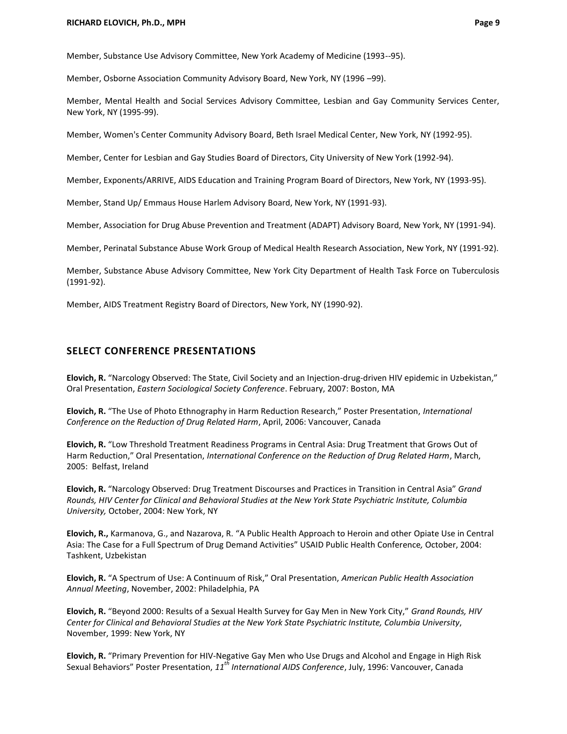Member, Substance Use Advisory Committee, New York Academy of Medicine (1993--95).

Member, Osborne Association Community Advisory Board, New York, NY (1996 –99).

Member, Mental Health and Social Services Advisory Committee, Lesbian and Gay Community Services Center, New York, NY (1995-99).

Member, Women's Center Community Advisory Board, Beth Israel Medical Center, New York, NY (1992-95).

Member, Center for Lesbian and Gay Studies Board of Directors, City University of New York (1992-94).

Member, Exponents/ARRIVE, AIDS Education and Training Program Board of Directors, New York, NY (1993-95).

Member, Stand Up/ Emmaus House Harlem Advisory Board, New York, NY (1991-93).

Member, Association for Drug Abuse Prevention and Treatment (ADAPT) Advisory Board, New York, NY (1991-94).

Member, Perinatal Substance Abuse Work Group of Medical Health Research Association, New York, NY (1991-92).

Member, Substance Abuse Advisory Committee, New York City Department of Health Task Force on Tuberculosis (1991-92).

Member, AIDS Treatment Registry Board of Directors, New York, NY (1990-92).

## **SELECT CONFERENCE PRESENTATIONS**

**Elovich, R.** "Narcology Observed: The State, Civil Society and an Injection-drug-driven HIV epidemic in Uzbekistan," Oral Presentation, *Eastern Sociological Society Conference*. February, 2007: Boston, MA

**Elovich, R.** "The Use of Photo Ethnography in Harm Reduction Research," Poster Presentation, *International Conference on the Reduction of Drug Related Harm*, April, 2006: Vancouver, Canada

**Elovich, R.** "Low Threshold Treatment Readiness Programs in Central Asia: Drug Treatment that Grows Out of Harm Reduction," Oral Presentation, *International Conference on the Reduction of Drug Related Harm*, March, 2005: Belfast, Ireland

**Elovich, R.** "Narcology Observed: Drug Treatment Discourses and Practices in Transition in Central Asia" *Grand Rounds, HIV Center for Clinical and Behavioral Studies at the New York State Psychiatric Institute, Columbia University,* October, 2004: New York, NY

**Elovich, R.,** Karmanova, G., and Nazarova, R. "A Public Health Approach to Heroin and other Opiate Use in Central Asia: The Case for a Full Spectrum of Drug Demand Activities" USAID Public Health Conference*,* October, 2004: Tashkent, Uzbekistan

**Elovich, R.** "A Spectrum of Use: A Continuum of Risk," Oral Presentation, *American Public Health Association Annual Meeting*, November, 2002: Philadelphia, PA

**Elovich, R.** "Beyond 2000: Results of a Sexual Health Survey for Gay Men in New York City," *Grand Rounds, HIV Center for Clinical and Behavioral Studies at the New York State Psychiatric Institute, Columbia University*, November, 1999: New York, NY

**Elovich, R.** "Primary Prevention for HIV-Negative Gay Men who Use Drugs and Alcohol and Engage in High Risk Sexual Behaviors" Poster Presentation, *11th International AIDS Conference*, July, 1996: Vancouver, Canada